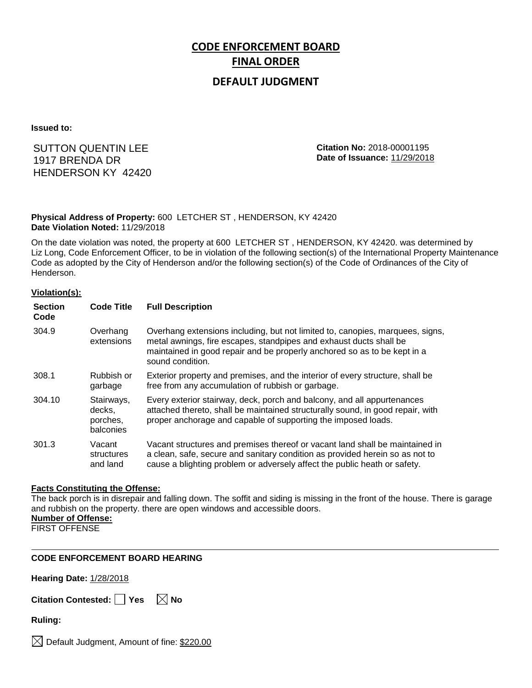# **CODE ENFORCEMENT BOARD FINAL ORDER**

### **DEFAULT JUDGMENT**

**Issued to:**

### SUTTON QUENTIN LEE 1917 BRENDA DR HENDERSON KY 42420

**Citation No:** 2018-00001195 **Date of Issuance:** 11/29/2018

#### **Physical Address of Property:** 600 LETCHER ST , HENDERSON, KY 42420 **Date Violation Noted:** 11/29/2018

On the date violation was noted, the property at 600 LETCHER ST , HENDERSON, KY 42420. was determined by Liz Long, Code Enforcement Officer, to be in violation of the following section(s) of the International Property Maintenance Code as adopted by the City of Henderson and/or the following section(s) of the Code of Ordinances of the City of Henderson.

#### **Violation(s):**

| <b>Section</b><br>Code | <b>Code Title</b>                             | <b>Full Description</b>                                                                                                                                                                                                                             |
|------------------------|-----------------------------------------------|-----------------------------------------------------------------------------------------------------------------------------------------------------------------------------------------------------------------------------------------------------|
| 304.9                  | Overhang<br>extensions                        | Overhang extensions including, but not limited to, canopies, marguees, signs,<br>metal awnings, fire escapes, standpipes and exhaust ducts shall be<br>maintained in good repair and be properly anchored so as to be kept in a<br>sound condition. |
| 308.1                  | Rubbish or<br>garbage                         | Exterior property and premises, and the interior of every structure, shall be<br>free from any accumulation of rubbish or garbage.                                                                                                                  |
| 304.10                 | Stairways,<br>decks.<br>porches,<br>balconies | Every exterior stairway, deck, porch and balcony, and all appurtenances<br>attached thereto, shall be maintained structurally sound, in good repair, with<br>proper anchorage and capable of supporting the imposed loads.                          |
| 301.3                  | Vacant<br>structures<br>and land              | Vacant structures and premises thereof or vacant land shall be maintained in<br>a clean, safe, secure and sanitary condition as provided herein so as not to<br>cause a blighting problem or adversely affect the public heath or safety.           |

#### **Facts Constituting the Offense:**

The back porch is in disrepair and falling down. The soffit and siding is missing in the front of the house. There is garage and rubbish on the property. there are open windows and accessible doors. **Number of Offense:**

FIRST OFFENSE

#### **CODE ENFORCEMENT BOARD HEARING**

**Hearing Date:** 1/28/2018

| Citation Contested: Yes |  | $\boxtimes$ No |
|-------------------------|--|----------------|
|-------------------------|--|----------------|

**Ruling:**

 $\bowtie$  Default Judgment, Amount of fine: \$220.00